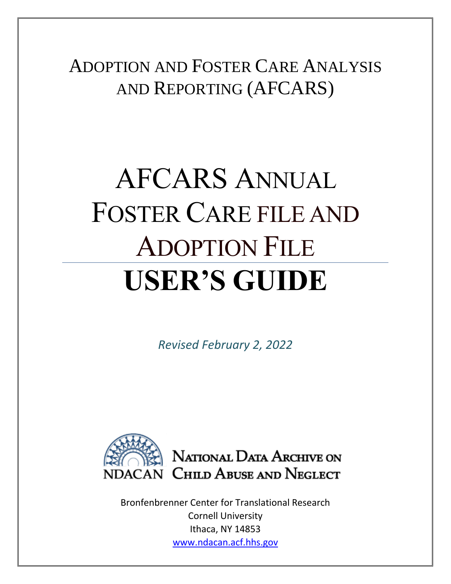ADOPTION AND FOSTER CARE ANALYSIS AND REPORTING (AFCARS)

# AFCARS ANNUAL FOSTER CARE FILE AND ADOPTION FILE **USER'S GUIDE**

*Revised February 2, 2022*



Bronfenbrenner Center for Translational Research Cornell University Ithaca, NY 14853 www.ndacan.acf.hhs.gov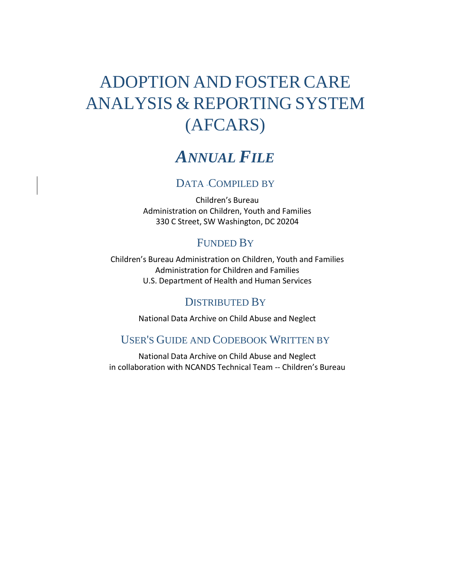# ADOPTION AND FOSTER CARE ANALYSIS & REPORTING SYSTEM (AFCARS)

# *ANNUAL FILE*

#### DATA -COMPILED BY

Children's Bureau Administration on Children, Youth and Families 330 C Street, SW Washington, DC 20204

#### FUNDED BY

Children's Bureau Administration on Children, Youth and Families Administration for Children and Families U.S. Department of Health and Human Services

#### DISTRIBUTED BY

National Data Archive on Child Abuse and Neglect

#### USER'S GUIDE AND CODEBOOK WRITTEN BY

National Data Archive on Child Abuse and Neglect in collaboration with NCANDS Technical Team -- Children's Bureau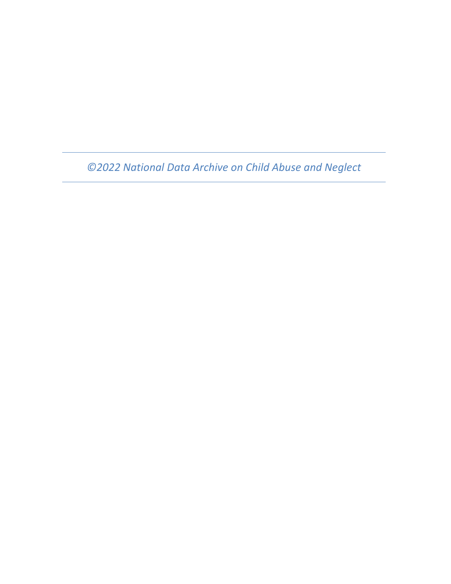*©2022 National Data Archive on Child Abuse and Neglect*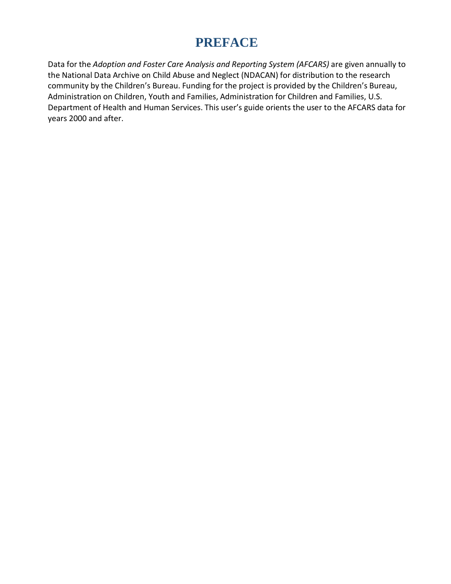# **PREFACE**

Data for the *Adoption and Foster Care Analysis and Reporting System (AFCARS)* are given annually to the National Data Archive on Child Abuse and Neglect (NDACAN) for distribution to the research community by the Children's Bureau. Funding for the project is provided by the Children's Bureau, Administration on Children, Youth and Families, Administration for Children and Families, U.S. Department of Health and Human Services. This user's guide orients the user to the AFCARS data for years 2000 and after.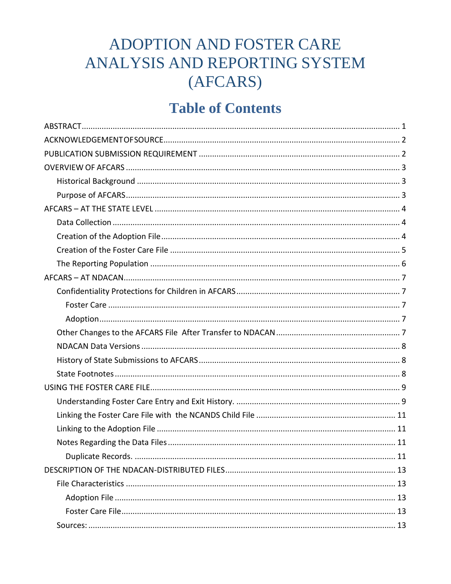# ADOPTION AND FOSTER CARE ANALYSIS AND REPORTING SYSTEM (AFCARS)

# **Table of Contents**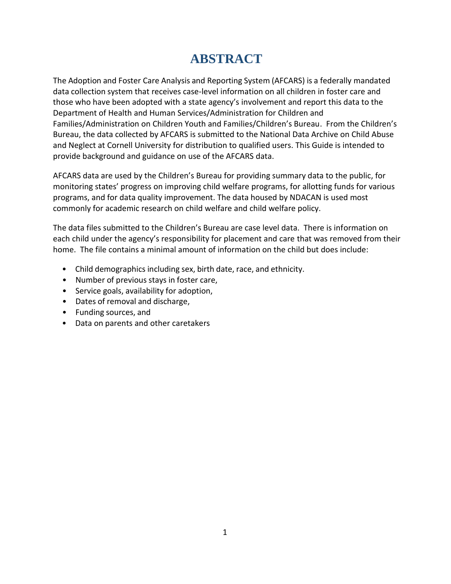# **ABSTRACT**

<span id="page-5-0"></span>The Adoption and Foster Care Analysis and Reporting System (AFCARS) is a federally mandated data collection system that receives case-level information on all children in foster care and those who have been adopted with a state agency's involvement and report this data to the Department of Health and Human Services/Administration for Children and Families/Administration on Children Youth and Families/Children's Bureau. From the Children's Bureau, the data collected by AFCARS is submitted to the National Data Archive on Child Abuse and Neglect at Cornell University for distribution to qualified users. This Guide is intended to provide background and guidance on use of the AFCARS data.

AFCARS data are used by the Children's Bureau for providing summary data to the public, for monitoring states' progress on improving child welfare programs, for allotting funds for various programs, and for data quality improvement. The data housed by NDACAN is used most commonly for academic research on child welfare and child welfare policy.

The data files submitted to the Children's Bureau are case level data. There is information on each child under the agency's responsibility for placement and care that was removed from their home. The file contains a minimal amount of information on the child but does include:

- Child demographics including sex, birth date, race, and ethnicity.
- Number of previous stays in foster care,
- Service goals, availability for adoption,
- Dates of removal and discharge,
- Funding sources, and
- Data on parents and other caretakers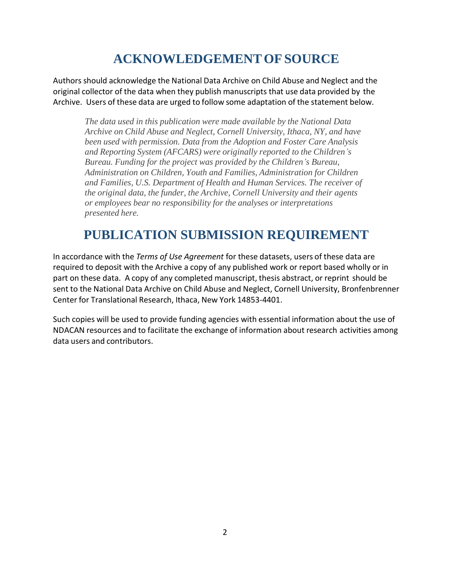# **ACKNOWLEDGEMENTOFSOURCE**

<span id="page-6-0"></span>Authors should acknowledge the National Data Archive on Child Abuse and Neglect and the original collector of the data when they publish manuscripts that use data provided by the Archive. Users of these data are urged to follow some adaptation of the statement below.

*The data used in this publication were made available by the National Data Archive on Child Abuse and Neglect, Cornell University, Ithaca, NY, and have been used with permission. Data from the Adoption and Foster Care Analysis and Reporting System (AFCARS) were originally reported to the Children's Bureau. Funding for the project was provided by the Children's Bureau, Administration on Children, Youth and Families, Administration for Children and Families, U.S. Department of Health and Human Services. The receiver of the original data, the funder, the Archive, Cornell University and their agents or employees bear no responsibility for the analyses or interpretations presented here.*

# **PUBLICATION SUBMISSION REQUIREMENT**

<span id="page-6-1"></span>In accordance with the *Terms of Use Agreement* for these datasets, users of these data are required to deposit with the Archive a copy of any published work or report based wholly or in part on these data. A copy of any completed manuscript, thesis abstract, or reprint should be sent to the National Data Archive on Child Abuse and Neglect, Cornell University, Bronfenbrenner Center for Translational Research, Ithaca, New York 14853-4401.

Such copies will be used to provide funding agencies with essential information about the use of NDACAN resources and to facilitate the exchange of information about research activities among data users and contributors.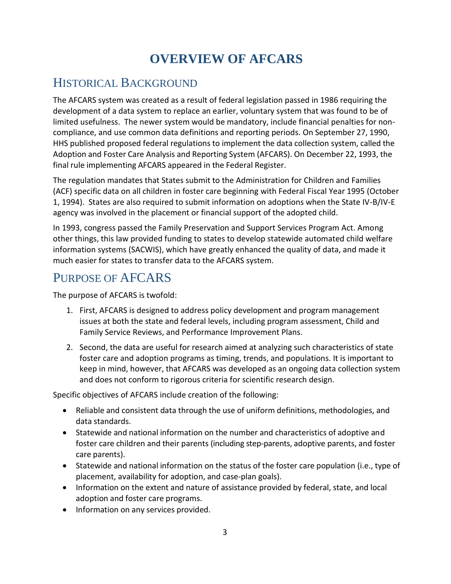# **OVERVIEW OF AFCARS**

### <span id="page-7-1"></span><span id="page-7-0"></span>HISTORICAL BACKGROUND

The AFCARS system was created as a result of federal legislation passed in 1986 requiring the development of a data system to replace an earlier, voluntary system that was found to be of limited usefulness. The newer system would be mandatory, include financial penalties for noncompliance, and use common data definitions and reporting periods. On September 27, 1990, HHS published proposed federal regulations to implement the data collection system, called the Adoption and Foster Care Analysis and Reporting System (AFCARS). On December 22, 1993, the final rule implementing AFCARS appeared in the Federal Register.

The regulation mandates that States submit to the Administration for Children and Families (ACF) specific data on all children in foster care beginning with Federal Fiscal Year 1995 (October 1, 1994). States are also required to submit information on adoptions when the State IV-B/IV-E agency was involved in the placement or financial support of the adopted child.

In 1993, congress passed the Family Preservation and Support Services Program Act. Among other things, this law provided funding to states to develop statewide automated child welfare information systems (SACWIS), which have greatly enhanced the quality of data, and made it much easier for states to transfer data to the AFCARS system.

# <span id="page-7-2"></span>PURPOSE OF AFCARS

The purpose of AFCARS is twofold:

- 1. First, AFCARS is designed to address policy development and program management issues at both the state and federal levels, including program assessment, Child and Family Service Reviews, and Performance Improvement Plans.
- 2. Second, the data are useful for research aimed at analyzing such characteristics of state foster care and adoption programs as timing, trends, and populations. It is important to keep in mind, however, that AFCARS was developed as an ongoing data collection system and does not conform to rigorous criteria for scientific research design.

Specific objectives of AFCARS include creation of the following:

- Reliable and consistent data through the use of uniform definitions, methodologies, and data standards.
- Statewide and national information on the number and characteristics of adoptive and foster care children and their parents (including step-parents, adoptive parents, and foster care parents).
- Statewide and national information on the status of the foster care population (i.e., type of placement, availability for adoption, and case-plan goals).
- Information on the extent and nature of assistance provided by federal, state, and local adoption and foster care programs.
- Information on any services provided.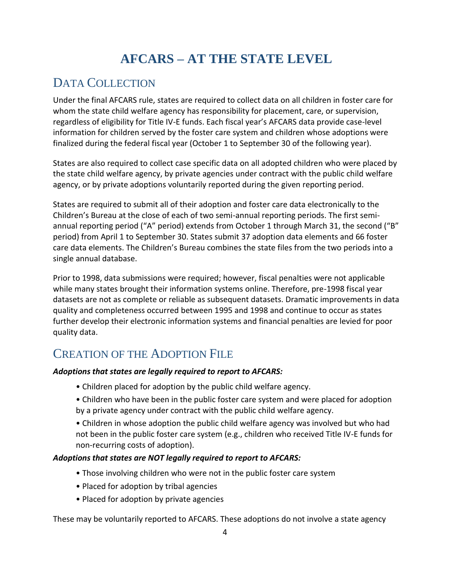# **AFCARS – AT THE STATE LEVEL**

# <span id="page-8-1"></span><span id="page-8-0"></span>DATA COLLECTION

Under the final AFCARS rule, states are required to collect data on all children in foster care for whom the state child welfare agency has responsibility for placement, care, or supervision, regardless of eligibility for Title IV-E funds. Each fiscal year's AFCARS data provide case-level information for children served by the foster care system and children whose adoptions were finalized during the federal fiscal year (October 1 to September 30 of the following year).

States are also required to collect case specific data on all adopted children who were placed by the state child welfare agency, by private agencies under contract with the public child welfare agency, or by private adoptions voluntarily reported during the given reporting period.

States are required to submit all of their adoption and foster care data electronically to the Children's Bureau at the close of each of two semi-annual reporting periods. The first semiannual reporting period ("A" period) extends from October 1 through March 31, the second ("B" period) from April 1 to September 30. States submit 37 adoption data elements and 66 foster care data elements. The Children's Bureau combines the state files from the two periods into a single annual database.

Prior to 1998, data submissions were required; however, fiscal penalties were not applicable while many states brought their information systems online. Therefore, pre-1998 fiscal year datasets are not as complete or reliable as subsequent datasets. Dramatic improvements in data quality and completeness occurred between 1995 and 1998 and continue to occur as states further develop their electronic information systems and financial penalties are levied for poor quality data.

### <span id="page-8-2"></span>CREATION OF THE ADOPTION FILE

#### *Adoptions that states are legally required to report to AFCARS:*

- Children placed for adoption by the public child welfare agency.
- Children who have been in the public foster care system and were placed for adoption by a private agency under contract with the public child welfare agency.
- Children in whose adoption the public child welfare agency was involved but who had not been in the public foster care system (e.g., children who received Title IV-E funds for non-recurring costs of adoption).

#### *Adoptions that states are NOT legally required to report to AFCARS:*

- Those involving children who were not in the public foster care system
- Placed for adoption by tribal agencies
- Placed for adoption by private agencies

These may be voluntarily reported to AFCARS. These adoptions do not involve a state agency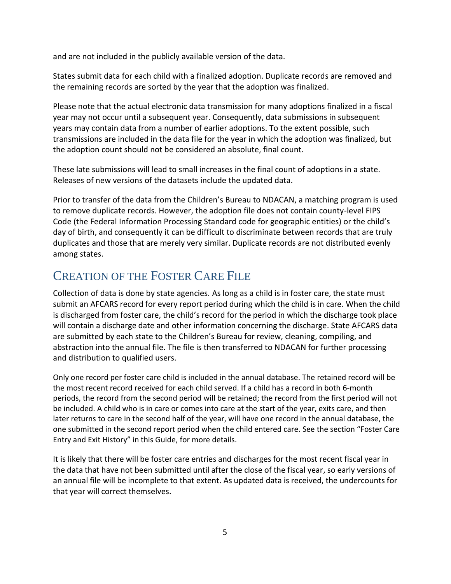and are not included in the publicly available version of the data.

States submit data for each child with a finalized adoption. Duplicate records are removed and the remaining records are sorted by the year that the adoption was finalized.

Please note that the actual electronic data transmission for many adoptions finalized in a fiscal year may not occur until a subsequent year. Consequently, data submissions in subsequent years may contain data from a number of earlier adoptions. To the extent possible, such transmissions are included in the data file for the year in which the adoption was finalized, but the adoption count should not be considered an absolute, final count.

These late submissions will lead to small increases in the final count of adoptions in a state. Releases of new versions of the datasets include the updated data.

Prior to transfer of the data from the Children's Bureau to NDACAN, a matching program is used to remove duplicate records. However, the adoption file does not contain county-level FIPS Code (the Federal Information Processing Standard code for geographic entities) or the child's day of birth, and consequently it can be difficult to discriminate between records that are truly duplicates and those that are merely very similar. Duplicate records are not distributed evenly among states.

### <span id="page-9-0"></span>CREATION OF THE FOSTER CARE FILE

Collection of data is done by state agencies. As long as a child is in foster care, the state must submit an AFCARS record for every report period during which the child is in care. When the child is discharged from foster care, the child's record for the period in which the discharge took place will contain a discharge date and other information concerning the discharge. State AFCARS data are submitted by each state to the Children's Bureau for review, cleaning, compiling, and abstraction into the annual file. The file is then transferred to NDACAN for further processing and distribution to qualified users.

Only one record per foster care child is included in the annual database. The retained record will be the most recent record received for each child served. If a child has a record in both 6-month periods, the record from the second period will be retained; the record from the first period will not be included. A child who is in care or comes into care at the start of the year, exits care, and then later returns to care in the second half of the year, will have one record in the annual database, the one submitted in the second report period when the child entered care. See the section "Foster Care Entry and Exit History" in this Guide, for more details.

It is likely that there will be foster care entries and discharges for the most recent fiscal year in the data that have not been submitted until after the close of the fiscal year, so early versions of an annual file will be incomplete to that extent. As updated data is received, the undercounts for that year will correct themselves.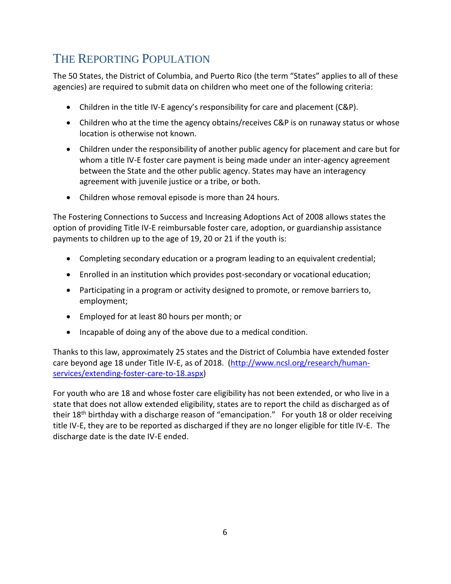# <span id="page-10-0"></span>THE REPORTING POPULATION

The 50 States, the District of Columbia, and Puerto Rico (the term "States" applies to all of these agencies) are required to submit data on children who meet one of the following criteria:

- Children in the title IV-E agency's responsibility for care and placement (C&P).
- Children who at the time the agency obtains/receives C&P is on runaway status or whose location is otherwise not known.
- Children under the responsibility of another public agency for placement and care but for whom a title IV-E foster care payment is being made under an inter-agency agreement between the State and the other public agency. States may have an interagency agreement with juvenile justice or a tribe, or both.
- Children whose removal episode is more than 24 hours.

The Fostering Connections to Success and Increasing Adoptions Act of 2008 allows states the option of providing Title IV-E reimbursable foster care, adoption, or guardianship assistance payments to children up to the age of 19, 20 or 21 if the youth is:

- Completing secondary education or a program leading to an equivalent credential;
- Enrolled in an institution which provides post-secondary or vocational education;
- Participating in a program or activity designed to promote, or remove barriers to, employment;
- Employed for at least 80 hours per month; or
- Incapable of doing any of the above due to a medical condition.

Thanks to this law, approximately 25 states and the District of Columbia have extended foster care beyond age 18 under Title IV-E, as of 2018. [\(http://www.ncsl.org/research/human](http://www.ncsl.org/research/human-services/extending-foster-care-to-18.aspx)[services/extending-foster-care-to-18.aspx\)](http://www.ncsl.org/research/human-services/extending-foster-care-to-18.aspx)

For youth who are 18 and whose foster care eligibility has not been extended, or who live in a state that does not allow extended eligibility, states are to report the child as discharged as of their 18<sup>th</sup> birthday with a discharge reason of "emancipation." For youth 18 or older receiving title IV-E, they are to be reported as discharged if they are no longer eligible for title IV-E. The discharge date is the date IV-E ended.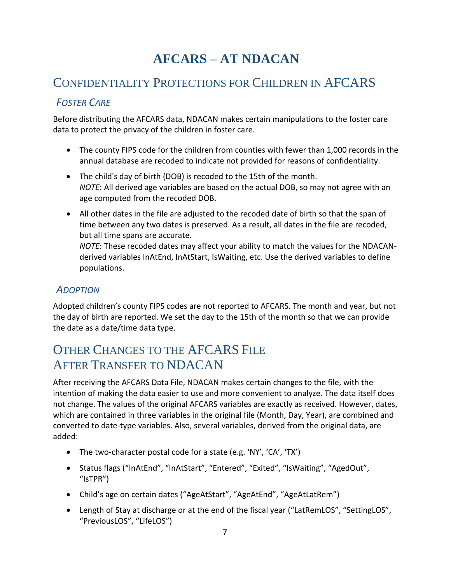# **AFCARS – AT NDACAN**

### <span id="page-11-1"></span><span id="page-11-0"></span>CONFIDENTIALITY PROTECTIONS FOR CHILDREN IN AFCARS

### <span id="page-11-2"></span>*FOSTER CARE*

Before distributing the AFCARS data, NDACAN makes certain manipulations to the foster care data to protect the privacy of the children in foster care.

- The county FIPS code for the children from counties with fewer than 1,000 records in the annual database are recoded to indicate not provided for reasons of confidentiality.
- The child's day of birth (DOB) is recoded to the 15th of the month. *NOTE*: All derived age variables are based on the actual DOB, so may not agree with an age computed from the recoded DOB.
- All other dates in the file are adjusted to the recoded date of birth so that the span of time between any two dates is preserved. As a result, all dates in the file are recoded, but all time spans are accurate. *NOTE*: These recoded dates may affect your ability to match the values for the NDACANderived variables InAtEnd, InAtStart, IsWaiting, etc. Use the derived variables to define populations.

#### <span id="page-11-3"></span>*ADOPTION*

Adopted children's county FIPS codes are not reported to AFCARS. The month and year, but not the day of birth are reported. We set the day to the 15th of the month so that we can provide the date as a date/time data type.

# <span id="page-11-4"></span>OTHER CHANGES TO THE AFCARS FILE AFTER TRANSFER TO NDACAN

After receiving the AFCARS Data File, NDACAN makes certain changes to the file, with the intention of making the data easier to use and more convenient to analyze. The data itself does not change. The values of the original AFCARS variables are exactly as received. However, dates, which are contained in three variables in the original file (Month, Day, Year), are combined and converted to date-type variables. Also, several variables, derived from the original data, are added:

- The two-character postal code for a state (e.g. 'NY', 'CA', 'TX')
- Status flags ("InAtEnd", "InAtStart", "Entered", "Exited", "IsWaiting", "AgedOut", "IsTPR")
- Child's age on certain dates ("AgeAtStart", "AgeAtEnd", "AgeAtLatRem")
- Length of Stay at discharge or at the end of the fiscal year ("LatRemLOS", "SettingLOS", "PreviousLOS", "LifeLOS")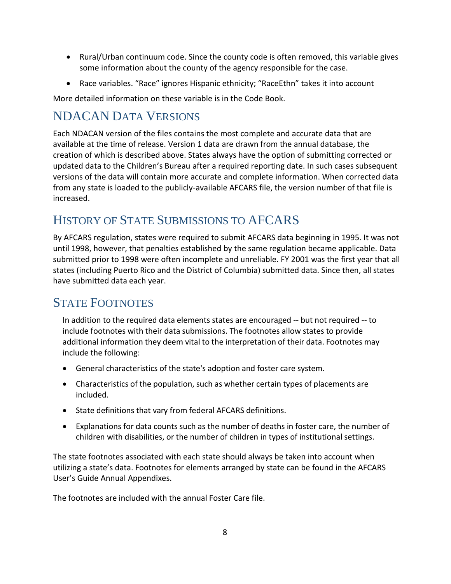- Rural/Urban continuum code. Since the county code is often removed, this variable gives some information about the county of the agency responsible for the case.
- Race variables. "Race" ignores Hispanic ethnicity; "RaceEthn" takes it into account

More detailed information on these variable is in the Code Book.

# <span id="page-12-0"></span>NDACAN DATA VERSIONS

Each NDACAN version of the files contains the most complete and accurate data that are available at the time of release. Version 1 data are drawn from the annual database, the creation of which is described above. States always have the option of submitting corrected or updated data to the Children's Bureau after a required reporting date. In such cases subsequent versions of the data will contain more accurate and complete information. When corrected data from any state is loaded to the publicly-available AFCARS file, the version number of that file is increased.

# <span id="page-12-1"></span>HISTORY OF STATE SUBMISSIONS TO AFCARS

By AFCARS regulation, states were required to submit AFCARS data beginning in 1995. It was not until 1998, however, that penalties established by the same regulation became applicable. Data submitted prior to 1998 were often incomplete and unreliable. FY 2001 was the first year that all states (including Puerto Rico and the District of Columbia) submitted data. Since then, all states have submitted data each year.

### <span id="page-12-2"></span>STATE FOOTNOTES

In addition to the required data elements states are encouraged -- but not required -- to include footnotes with their data submissions. The footnotes allow states to provide additional information they deem vital to the interpretation of their data. Footnotes may include the following:

- General characteristics of the state's adoption and foster care system.
- Characteristics of the population, such as whether certain types of placements are included.
- State definitions that vary from federal AFCARS definitions.
- Explanations for data counts such as the number of deaths in foster care, the number of children with disabilities, or the number of children in types of institutional settings.

The state footnotes associated with each state should always be taken into account when utilizing a state's data. Footnotes for elements arranged by state can be found in the AFCARS User's Guide Annual Appendixes.

The footnotes are included with the annual Foster Care file.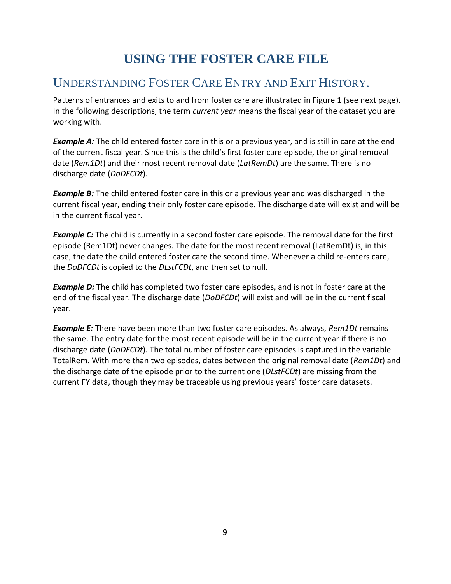# **USING THE FOSTER CARE FILE**

### <span id="page-13-1"></span><span id="page-13-0"></span>UNDERSTANDING FOSTER CARE ENTRY AND EXIT HISTORY.

Patterns of entrances and exits to and from foster care are illustrated in Figure 1 (see next page). In the following descriptions, the term *current year* means the fiscal year of the dataset you are working with.

**Example A:** The child entered foster care in this or a previous year, and is still in care at the end of the current fiscal year. Since this is the child's first foster care episode, the original removal date (*Rem1Dt*) and their most recent removal date (*LatRemDt*) are the same. There is no discharge date (*DoDFCDt*).

**Example B:** The child entered foster care in this or a previous year and was discharged in the current fiscal year, ending their only foster care episode. The discharge date will exist and will be in the current fiscal year.

**Example C:** The child is currently in a second foster care episode. The removal date for the first episode (Rem1Dt) never changes. The date for the most recent removal (LatRemDt) is, in this case, the date the child entered foster care the second time. Whenever a child re-enters care, the *DoDFCDt* is copied to the *DLstFCDt*, and then set to null.

**Example D:** The child has completed two foster care episodes, and is not in foster care at the end of the fiscal year. The discharge date (*DoDFCDt*) will exist and will be in the current fiscal year.

*Example E:* There have been more than two foster care episodes. As always, *Rem1Dt* remains the same. The entry date for the most recent episode will be in the current year if there is no discharge date (*DoDFCDt*). The total number of foster care episodes is captured in the variable TotalRem. With more than two episodes, dates between the original removal date (*Rem1Dt*) and the discharge date of the episode prior to the current one (*DLstFCDt*) are missing from the current FY data, though they may be traceable using previous years' foster care datasets.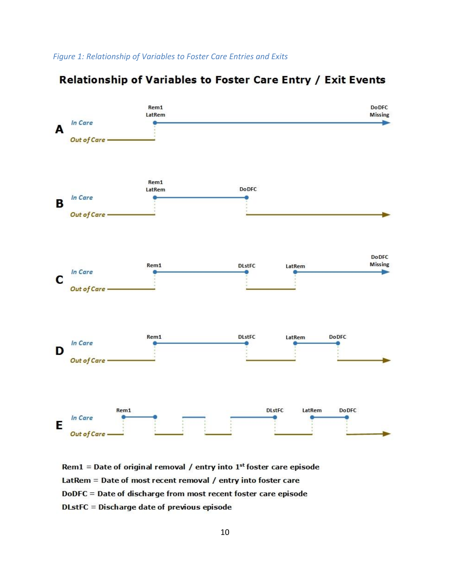

#### Relationship of Variables to Foster Care Entry / Exit Events

Rem1 = Date of original removal / entry into  $1<sup>st</sup>$  foster care episode LatRem = Date of most recent removal / entry into foster care DoDFC = Date of discharge from most recent foster care episode DLstFC = Discharge date of previous episode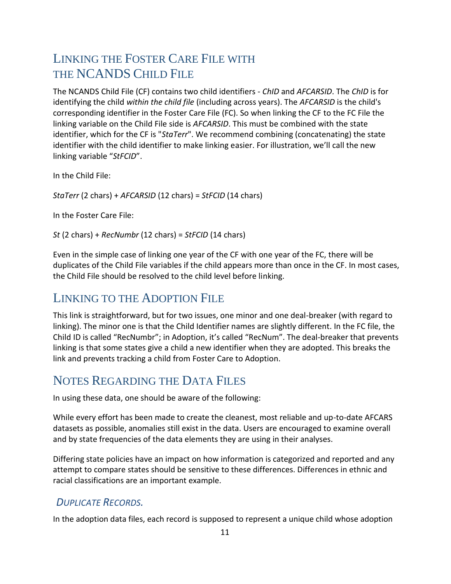# <span id="page-15-0"></span>LINKING THE FOSTER CARE FILE WITH THE NCANDS CHILD FILE

The NCANDS Child File (CF) contains two child identifiers - *ChID* and *AFCARSID*. The *ChID* is for identifying the child *within the child file* (including across years). The *AFCARSID* is the child's corresponding identifier in the Foster Care File (FC). So when linking the CF to the FC File the linking variable on the Child File side is *AFCARSID*. This must be combined with the state identifier, which for the CF is "*StaTerr*". We recommend combining (concatenating) the state identifier with the child identifier to make linking easier. For illustration, we'll call the new linking variable "*StFCID*".

In the Child File:

*StaTerr* (2 chars) + *AFCARSID* (12 chars) = *StFCID* (14 chars)

In the Foster Care File:

*St* (2 chars) + *RecNumbr* (12 chars) = *StFCID* (14 chars)

Even in the simple case of linking one year of the CF with one year of the FC, there will be duplicates of the Child File variables if the child appears more than once in the CF. In most cases, the Child File should be resolved to the child level before linking.

### <span id="page-15-1"></span>LINKING TO THE ADOPTION FILE

This link is straightforward, but for two issues, one minor and one deal-breaker (with regard to linking). The minor one is that the Child Identifier names are slightly different. In the FC file, the Child ID is called "RecNumbr"; in Adoption, it's called "RecNum". The deal-breaker that prevents linking is that some states give a child a new identifier when they are adopted. This breaks the link and prevents tracking a child from Foster Care to Adoption.

### <span id="page-15-2"></span>NOTES REGARDING THE DATA FILES

In using these data, one should be aware of the following:

While every effort has been made to create the cleanest, most reliable and up-to-date AFCARS datasets as possible, anomalies still exist in the data. Users are encouraged to examine overall and by state frequencies of the data elements they are using in their analyses.

Differing state policies have an impact on how information is categorized and reported and any attempt to compare states should be sensitive to these differences. Differences in ethnic and racial classifications are an important example.

#### <span id="page-15-3"></span>*DUPLICATE RECORDS.*

In the adoption data files, each record is supposed to represent a unique child whose adoption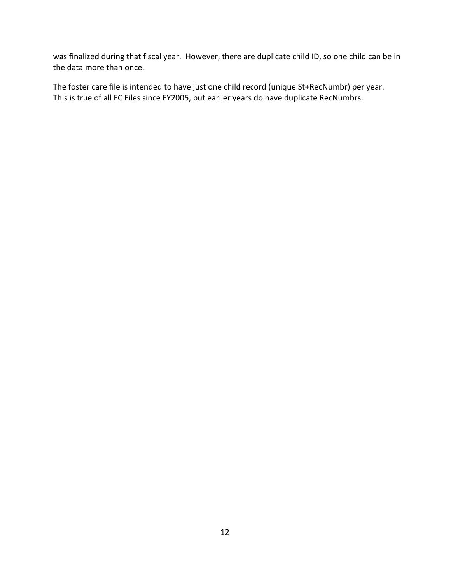was finalized during that fiscal year. However, there are duplicate child ID, so one child can be in the data more than once.

The foster care file is intended to have just one child record (unique St+RecNumbr) per year. This is true of all FC Files since FY2005, but earlier years do have duplicate RecNumbrs.